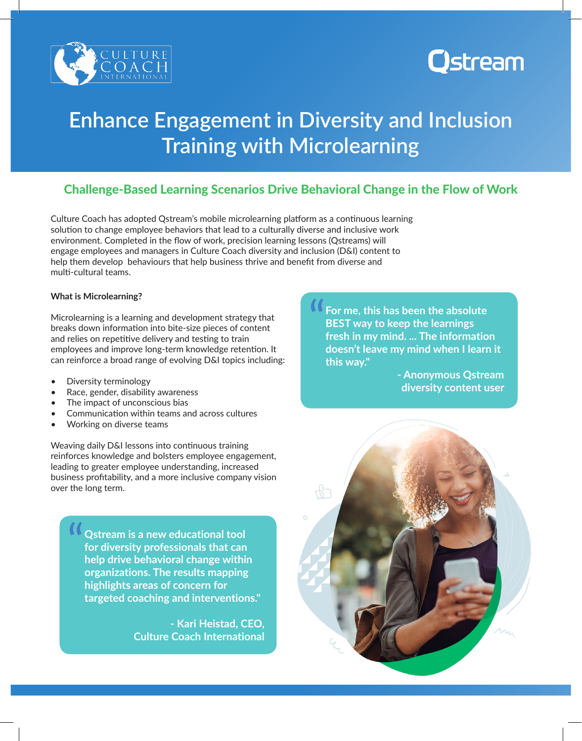

# Ostream

## **Enhance Engagement in Diversity and Inclusion Training with Microlearning**

### Challenge-Based Learning Scenarios Drive Behavioral Change in the Flow of Work

Culture Coach has adopted Qstream's mobile microlearning platform as a continuous learning solution to change employee behaviors that lead to a culturally diverse and inclusive work environment. Completed in the flow of work, precision learning lessons (Qstreams) will engage employees and managers in Culture Coach diversity and inclusion (D&I) content to help them develop behaviours that help business thrive and benefit from diverse and multi-cultural teams.

What is Microlearning?<br>
Microlearning is a learning and development strategy that<br>
breaks down information into bite-size pieces of content<br>
and relies on repetitive delivery and testing to train Microlearning is a learning and development strategy that breaks down information into bite-size pieces of content and relies on repetitive delivery and testing to train employees and improve long-term knowledge retention. It can reinforce a broad range of evolving D&I topics including:

- Diversity terminology
- Race, gender, disability awareness
- The impact of unconscious bias
- Communication within teams and across cultures
- Working on diverse teams

Weaving daily D&I lessons into continuous training reinforces knowledge and bolsters employee engagement, leading to greater employee understanding, increased business profitability, and a more inclusive company vision over the long term.

"<br>" **Qstream is a new educational tool for diversity professionals that can help drive behavioral change within organizations. The results mapping highlights areas of concern for targeted coaching and interventions."** 

> **- Kari Heistad, CEO, Culture Coach International**

**For me, this has been the absolute BEST way to keep the learnings fresh in my mind. ... The information doesn't leave my mind when I learn it this way."** 

> **- Anonymous Qstream diversity content user**